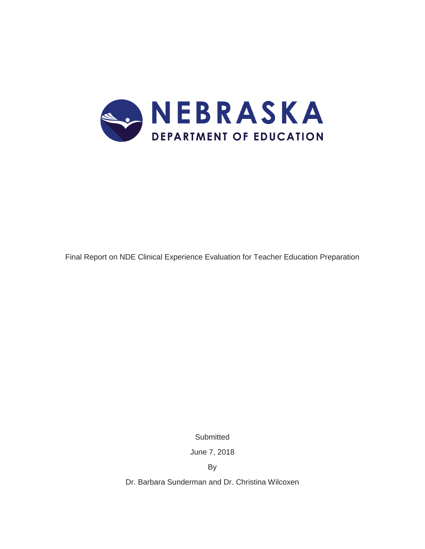

Final Report on NDE Clinical Experience Evaluation for Teacher Education Preparation

**Submitted** 

June 7, 2018

By

Dr. Barbara Sunderman and Dr. Christina Wilcoxen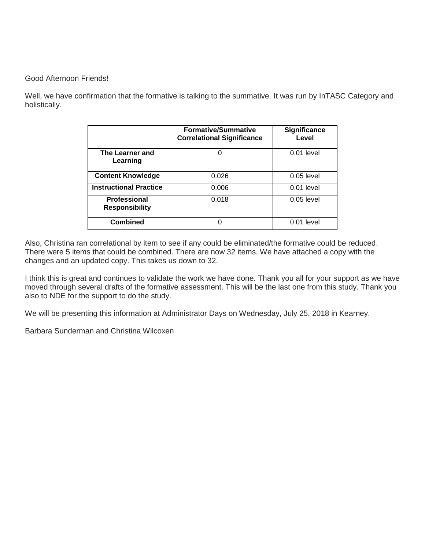## Good Afternoon Friends!

Well, we have confirmation that the formative is talking to the summative. It was run by InTASC Category and holistically.

|                                              | <b>Formative/Summative</b><br><b>Correlational Significance</b> | Significance<br>Level |
|----------------------------------------------|-----------------------------------------------------------------|-----------------------|
| The Learner and<br>Learning                  |                                                                 | $0.01$ level          |
| <b>Content Knowledge</b>                     | 0.026                                                           | $0.05$ level          |
| <b>Instructional Practice</b>                | 0.006                                                           | $0.01$ level          |
| <b>Professional</b><br><b>Responsibility</b> | 0.018                                                           | $0.05$ level          |
| <b>Combined</b>                              | ი                                                               | $0.01$ level          |

Also, Christina ran correlational by item to see if any could be eliminated/the formative could be reduced. There were 5 items that could be combined. There are now 32 items. We have attached a copy with the changes and an updated copy. This takes us down to 32.

I think this is great and continues to validate the work we have done. Thank you all for your support as we have moved through several drafts of the formative assessment. This will be the last one from this study. Thank you also to NDE for the support to do the study.

We will be presenting this information at Administrator Days on Wednesday, July 25, 2018 in Kearney.

Barbara Sunderman and Christina Wilcoxen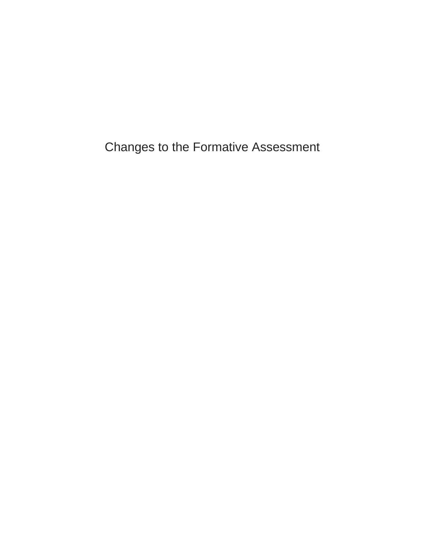Changes to the Formative Assessment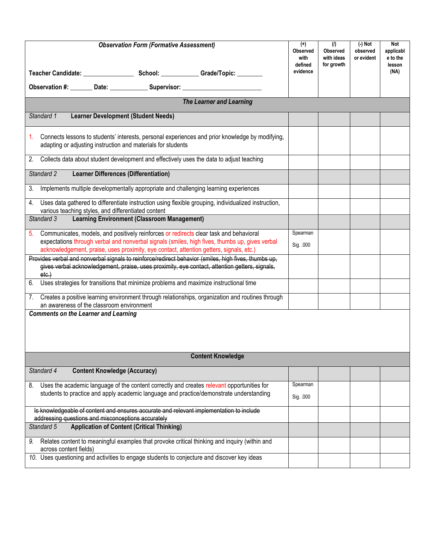| <b>Observation Form (Formative Assessment)</b>                                                                                                                                                                 |           | (1)<br><b>Observed</b><br>with ideas<br>for growth | $(-)$ Not<br>observed<br>or evident | Not<br>applicabl<br>e to the<br>lesson |
|----------------------------------------------------------------------------------------------------------------------------------------------------------------------------------------------------------------|-----------|----------------------------------------------------|-------------------------------------|----------------------------------------|
|                                                                                                                                                                                                                | evidence  |                                                    |                                     | (NA)                                   |
| Observation #: _______ Date: _____________ Supervisor: _________________________                                                                                                                               |           |                                                    |                                     |                                        |
| <b>The Learner and Learning</b>                                                                                                                                                                                |           |                                                    |                                     |                                        |
| Standard 1<br><b>Learner Development (Student Needs)</b>                                                                                                                                                       |           |                                                    |                                     |                                        |
| Connects lessons to students' interests, personal experiences and prior knowledge by modifying,<br>1.<br>adapting or adjusting instruction and materials for students                                          |           |                                                    |                                     |                                        |
| 2. Collects data about student development and effectively uses the data to adjust teaching                                                                                                                    |           |                                                    |                                     |                                        |
| Standard 2<br><b>Learner Differences (Differentiation)</b>                                                                                                                                                     |           |                                                    |                                     |                                        |
| Implements multiple developmentally appropriate and challenging learning experiences<br>3.                                                                                                                     |           |                                                    |                                     |                                        |
| Uses data gathered to differentiate instruction using flexible grouping, individualized instruction,<br>4.<br>various teaching styles, and differentiated content                                              |           |                                                    |                                     |                                        |
| <b>Learning Environment (Classroom Management)</b><br>Standard 3                                                                                                                                               |           |                                                    |                                     |                                        |
| Communicates, models, and positively reinforces or redirects clear task and behavioral<br>5.                                                                                                                   | Spearman  |                                                    |                                     |                                        |
| expectations through verbal and nonverbal signals (smiles, high fives, thumbs up, gives verbal<br>acknowledgement, praise, uses proximity, eye contact, attention getters, signals, etc.)                      | Sig. .000 |                                                    |                                     |                                        |
| Provides verbal and nonverbal signals to reinforce/redirect behavior (smiles, high fives, thumbs up,<br>gives verbal acknowledgement, praise, uses proximity, eye contact, attention getters, signals,<br>etc. |           |                                                    |                                     |                                        |
| Uses strategies for transitions that minimize problems and maximize instructional time<br>6.                                                                                                                   |           |                                                    |                                     |                                        |
| 7. Creates a positive learning environment through relationships, organization and routines through<br>an awareness of the classroom environment                                                               |           |                                                    |                                     |                                        |
| <b>Comments on the Learner and Learning</b>                                                                                                                                                                    |           |                                                    |                                     |                                        |
| <b>Content Knowledge</b>                                                                                                                                                                                       |           |                                                    |                                     |                                        |
| <b>Content Knowledge (Accuracy)</b><br>Standard 4                                                                                                                                                              |           |                                                    |                                     |                                        |
| Uses the academic language of the content correctly and creates relevant opportunities for<br>8.                                                                                                               | Spearman  |                                                    |                                     |                                        |
| students to practice and apply academic language and practice/demonstrate understanding                                                                                                                        | Sig. .000 |                                                    |                                     |                                        |
| Is knowledgeable of content and ensures accurate and relevant implementation to include<br>addressing questions and misconceptions accurately                                                                  |           |                                                    |                                     |                                        |
| <b>Application of Content (Critical Thinking)</b><br>Standard 5                                                                                                                                                |           |                                                    |                                     |                                        |
| Relates content to meaningful examples that provoke critical thinking and inquiry (within and<br>9.<br>across content fields)                                                                                  |           |                                                    |                                     |                                        |
| 10. Uses questioning and activities to engage students to conjecture and discover key ideas                                                                                                                    |           |                                                    |                                     |                                        |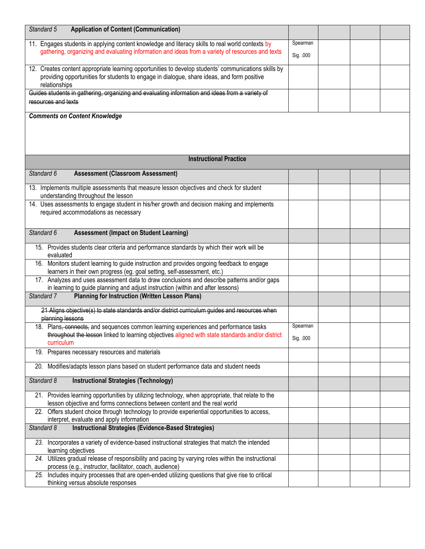| Standard 5<br><b>Application of Content (Communication)</b>                                            |           |  |  |
|--------------------------------------------------------------------------------------------------------|-----------|--|--|
| 11. Engages students in applying content knowledge and literacy skills to real world contexts by       | Spearman  |  |  |
| gathering, organizing and evaluating information and ideas from a variety of resources and texts       |           |  |  |
|                                                                                                        | Sig. .000 |  |  |
| 12. Creates content appropriate learning opportunities to develop students' communications skills by   |           |  |  |
| providing opportunities for students to engage in dialogue, share ideas, and form positive             |           |  |  |
| relationships                                                                                          |           |  |  |
| Guides students in gathering, organizing and evaluating information and ideas from a variety of        |           |  |  |
| resources and texts                                                                                    |           |  |  |
|                                                                                                        |           |  |  |
| <b>Comments on Content Knowledge</b>                                                                   |           |  |  |
|                                                                                                        |           |  |  |
|                                                                                                        |           |  |  |
|                                                                                                        |           |  |  |
|                                                                                                        |           |  |  |
| <b>Instructional Practice</b>                                                                          |           |  |  |
| Standard 6<br><b>Assessment (Classroom Assessment)</b>                                                 |           |  |  |
| 13. Implements multiple assessments that measure lesson objectives and check for student               |           |  |  |
| understanding throughout the lesson                                                                    |           |  |  |
| 14. Uses assessments to engage student in his/her growth and decision making and implements            |           |  |  |
| required accommodations as necessary                                                                   |           |  |  |
|                                                                                                        |           |  |  |
| Standard 6<br><b>Assessment (Impact on Student Learning)</b>                                           |           |  |  |
|                                                                                                        |           |  |  |
| 15. Provides students clear criteria and performance standards by which their work will be             |           |  |  |
| evaluated                                                                                              |           |  |  |
| 16. Monitors student learning to guide instruction and provides ongoing feedback to engage             |           |  |  |
| learners in their own progress (eg. goal setting, self-assessment, etc.)                               |           |  |  |
| 17. Analyzes and uses assessment data to draw conclusions and describe patterns and/or gaps            |           |  |  |
| in learning to guide planning and adjust instruction (within and after lessons)                        |           |  |  |
| Standard 7<br><b>Planning for Instruction (Written Lesson Plans)</b>                                   |           |  |  |
| 21 Aligns objective(s) to state standards and/or district curriculum guides and resources when         |           |  |  |
| planning lessons                                                                                       |           |  |  |
| 18. Plans, connects, and sequences common learning experiences and performance tasks                   | Spearman  |  |  |
| throughout the lesson linked to learning objectives aligned with state standards and/or district       |           |  |  |
| curriculum                                                                                             | Sig. .000 |  |  |
| 19. Prepares necessary resources and materials                                                         |           |  |  |
|                                                                                                        |           |  |  |
| 20. Modifies/adapts lesson plans based on student performance data and student needs                   |           |  |  |
| Standard 8<br><b>Instructional Strategies (Technology)</b>                                             |           |  |  |
|                                                                                                        |           |  |  |
| 21. Provides learning opportunities by utilizing technology, when appropriate, that relate to the      |           |  |  |
| lesson objective and forms connections between content and the real world                              |           |  |  |
| 22. Offers student choice through technology to provide experiential opportunities to access,          |           |  |  |
| interpret, evaluate and apply information                                                              |           |  |  |
| <b>Instructional Strategies (Evidence-Based Strategies)</b><br>Standard 8                              |           |  |  |
| Incorporates a variety of evidence-based instructional strategies that match the intended<br>23.       |           |  |  |
| learning objectives                                                                                    |           |  |  |
| Utilizes gradual release of responsibility and pacing by varying roles within the instructional<br>24. |           |  |  |
| process (e.g., instructor, facilitator, coach, audience)                                               |           |  |  |
| Includes inquiry processes that are open-ended utilizing questions that give rise to critical<br>25.   |           |  |  |
| thinking versus absolute responses                                                                     |           |  |  |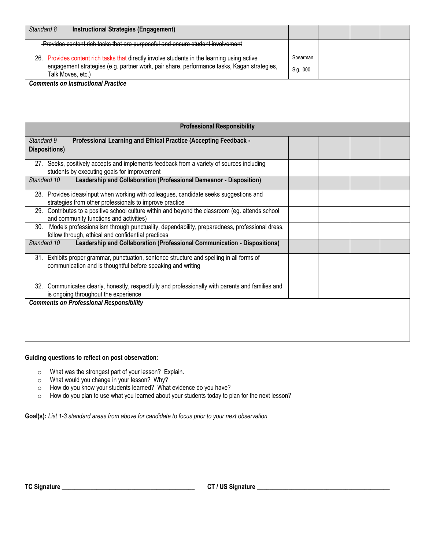| Standard 8<br><b>Instructional Strategies (Engagement)</b>                                                                                                  |           |  |  |
|-------------------------------------------------------------------------------------------------------------------------------------------------------------|-----------|--|--|
| Provides content rich tasks that are purposeful and ensure student involvement                                                                              |           |  |  |
| 26. Provides content rich tasks that directly involve students in the learning using active                                                                 | Spearman  |  |  |
| engagement strategies (e.g. partner work, pair share, performance tasks, Kagan strategies,<br>Talk Moves, etc.)                                             | Sig. .000 |  |  |
| <b>Comments on Instructional Practice</b>                                                                                                                   |           |  |  |
|                                                                                                                                                             |           |  |  |
|                                                                                                                                                             |           |  |  |
| <b>Professional Responsibility</b>                                                                                                                          |           |  |  |
| Standard 9<br>Professional Learning and Ethical Practice (Accepting Feedback -                                                                              |           |  |  |
| Dispositions)                                                                                                                                               |           |  |  |
| 27. Seeks, positively accepts and implements feedback from a variety of sources including<br>students by executing goals for improvement                    |           |  |  |
| Standard 10<br>Leadership and Collaboration (Professional Demeanor - Disposition)                                                                           |           |  |  |
| 28. Provides ideas/input when working with colleagues, candidate seeks suggestions and                                                                      |           |  |  |
| strategies from other professionals to improve practice<br>29. Contributes to a positive school culture within and beyond the classroom (eg. attends school |           |  |  |
| and community functions and activities)                                                                                                                     |           |  |  |
| Models professionalism through punctuality, dependability, preparedness, professional dress,<br>30.<br>follow through, ethical and confidential practices   |           |  |  |
| Standard 10<br>Leadership and Collaboration (Professional Communication - Dispositions)                                                                     |           |  |  |
| 31. Exhibits proper grammar, punctuation, sentence structure and spelling in all forms of                                                                   |           |  |  |
| communication and is thoughtful before speaking and writing                                                                                                 |           |  |  |
| 32. Communicates clearly, honestly, respectfully and professionally with parents and families and                                                           |           |  |  |
| is ongoing throughout the experience                                                                                                                        |           |  |  |
| <b>Comments on Professional Responsibility</b>                                                                                                              |           |  |  |
|                                                                                                                                                             |           |  |  |
|                                                                                                                                                             |           |  |  |
|                                                                                                                                                             |           |  |  |

## **Guiding questions to reflect on post observation:**

- o What was the strongest part of your lesson? Explain.
- o What would you change in your lesson? Why?
- o How do you know your students learned? What evidence do you have?
- o How do you plan to use what you learned about your students today to plan for the next lesson?

**Goal(s):** *List 1-3 standard areas from above for candidate to focus prior to your next observation*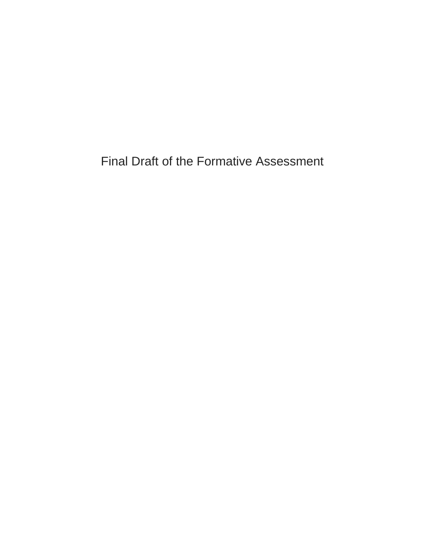Final Draft of the Formative Assessment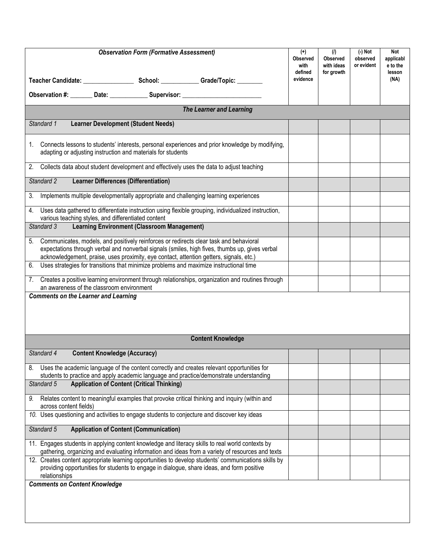| <b>Observation Form (Formative Assessment)</b>                                                                        |                                                    | $^{(+)}$<br><b>Observed</b><br>with<br>defined<br>evidence                                           | (1)<br><b>Observed</b><br>with ideas<br>for growth | $(-)$ Not<br>observed<br>or evident | Not<br>applicabl<br>e to the<br>lesson<br>(NA) |  |
|-----------------------------------------------------------------------------------------------------------------------|----------------------------------------------------|------------------------------------------------------------------------------------------------------|----------------------------------------------------|-------------------------------------|------------------------------------------------|--|
| Observation #: ________ Date: _______________ Supervisor: ______________________                                      |                                                    |                                                                                                      |                                                    |                                     |                                                |  |
|                                                                                                                       |                                                    | The Learner and Learning                                                                             |                                                    |                                     |                                                |  |
| Standard 1                                                                                                            | <b>Learner Development (Student Needs)</b>         |                                                                                                      |                                                    |                                     |                                                |  |
|                                                                                                                       |                                                    |                                                                                                      |                                                    |                                     |                                                |  |
| 1.<br>adapting or adjusting instruction and materials for students                                                    |                                                    | Connects lessons to students' interests, personal experiences and prior knowledge by modifying,      |                                                    |                                     |                                                |  |
| Collects data about student development and effectively uses the data to adjust teaching<br>2.                        |                                                    |                                                                                                      |                                                    |                                     |                                                |  |
| <b>Learner Differences (Differentiation)</b><br>Standard 2                                                            |                                                    |                                                                                                      |                                                    |                                     |                                                |  |
| Implements multiple developmentally appropriate and challenging learning experiences<br>3.                            |                                                    |                                                                                                      |                                                    |                                     |                                                |  |
| 4.<br>various teaching styles, and differentiated content                                                             |                                                    | Uses data gathered to differentiate instruction using flexible grouping, individualized instruction, |                                                    |                                     |                                                |  |
| Standard 3                                                                                                            | <b>Learning Environment (Classroom Management)</b> |                                                                                                      |                                                    |                                     |                                                |  |
| Communicates, models, and positively reinforces or redirects clear task and behavioral<br>5.                          |                                                    |                                                                                                      |                                                    |                                     |                                                |  |
| acknowledgement, praise, uses proximity, eye contact, attention getters, signals, etc.)                               |                                                    | expectations through verbal and nonverbal signals (smiles, high fives, thumbs up, gives verbal       |                                                    |                                     |                                                |  |
| Uses strategies for transitions that minimize problems and maximize instructional time<br>6.                          |                                                    |                                                                                                      |                                                    |                                     |                                                |  |
| 7. Creates a positive learning environment through relationships, organization and routines through                   |                                                    |                                                                                                      |                                                    |                                     |                                                |  |
| an awareness of the classroom environment<br><b>Comments on the Learner and Learning</b>                              |                                                    |                                                                                                      |                                                    |                                     |                                                |  |
|                                                                                                                       |                                                    |                                                                                                      |                                                    |                                     |                                                |  |
|                                                                                                                       |                                                    |                                                                                                      |                                                    |                                     |                                                |  |
|                                                                                                                       |                                                    | <b>Content Knowledge</b>                                                                             |                                                    |                                     |                                                |  |
| Standard 4<br><b>Content Knowledge (Accuracy)</b>                                                                     |                                                    |                                                                                                      |                                                    |                                     |                                                |  |
| 8.                                                                                                                    |                                                    | Uses the academic language of the content correctly and creates relevant opportunities for           |                                                    |                                     |                                                |  |
| Standard 5                                                                                                            | <b>Application of Content (Critical Thinking)</b>  | students to practice and apply academic language and practice/demonstrate understanding              |                                                    |                                     |                                                |  |
| 9.                                                                                                                    |                                                    | Relates content to meaningful examples that provoke critical thinking and inquiry (within and        |                                                    |                                     |                                                |  |
| across content fields)<br>10. Uses questioning and activities to engage students to conjecture and discover key ideas |                                                    |                                                                                                      |                                                    |                                     |                                                |  |
|                                                                                                                       |                                                    |                                                                                                      |                                                    |                                     |                                                |  |
| Standard 5                                                                                                            | <b>Application of Content (Communication)</b>      |                                                                                                      |                                                    |                                     |                                                |  |
| 11. Engages students in applying content knowledge and literacy skills to real world contexts by                      |                                                    | gathering, organizing and evaluating information and ideas from a variety of resources and texts     |                                                    |                                     |                                                |  |
|                                                                                                                       |                                                    | 12. Creates content appropriate learning opportunities to develop students' communications skills by |                                                    |                                     |                                                |  |
| providing opportunities for students to engage in dialogue, share ideas, and form positive<br>relationships           |                                                    |                                                                                                      |                                                    |                                     |                                                |  |
| <b>Comments on Content Knowledge</b>                                                                                  |                                                    |                                                                                                      |                                                    |                                     |                                                |  |
|                                                                                                                       |                                                    |                                                                                                      |                                                    |                                     |                                                |  |
|                                                                                                                       |                                                    |                                                                                                      |                                                    |                                     |                                                |  |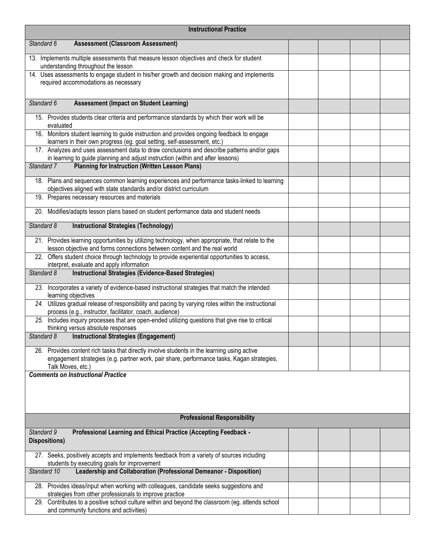| <b>Instructional Practice</b>                                                                                                                                                                                  |  |  |  |  |
|----------------------------------------------------------------------------------------------------------------------------------------------------------------------------------------------------------------|--|--|--|--|
| Standard 6<br><b>Assessment (Classroom Assessment)</b>                                                                                                                                                         |  |  |  |  |
| 13. Implements multiple assessments that measure lesson objectives and check for student<br>understanding throughout the lesson                                                                                |  |  |  |  |
| 14. Uses assessments to engage student in his/her growth and decision making and implements<br>required accommodations as necessary                                                                            |  |  |  |  |
| Standard 6<br><b>Assessment (Impact on Student Learning)</b>                                                                                                                                                   |  |  |  |  |
| 15. Provides students clear criteria and performance standards by which their work will be<br>evaluated                                                                                                        |  |  |  |  |
| 16. Monitors student learning to guide instruction and provides ongoing feedback to engage<br>learners in their own progress (eg. goal setting, self-assessment, etc.)                                         |  |  |  |  |
| 17. Analyzes and uses assessment data to draw conclusions and describe patterns and/or gaps<br>in learning to guide planning and adjust instruction (within and after lessons)                                 |  |  |  |  |
| <b>Planning for Instruction (Written Lesson Plans)</b><br>Standard 7                                                                                                                                           |  |  |  |  |
| 18. Plans and sequences common learning experiences and performance tasks-linked to learning<br>objectives aligned with state standards and/or district curriculum                                             |  |  |  |  |
| 19. Prepares necessary resources and materials                                                                                                                                                                 |  |  |  |  |
| 20. Modifies/adapts lesson plans based on student performance data and student needs                                                                                                                           |  |  |  |  |
| Standard 8<br><b>Instructional Strategies (Technology)</b>                                                                                                                                                     |  |  |  |  |
| 21. Provides learning opportunities by utilizing technology, when appropriate, that relate to the<br>lesson objective and forms connections between content and the real world                                 |  |  |  |  |
| 22. Offers student choice through technology to provide experiential opportunities to access,<br>interpret, evaluate and apply information                                                                     |  |  |  |  |
| Instructional Strategies (Evidence-Based Strategies)<br>Standard 8                                                                                                                                             |  |  |  |  |
| 23. Incorporates a variety of evidence-based instructional strategies that match the intended<br>learning objectives                                                                                           |  |  |  |  |
| 24. Utilizes gradual release of responsibility and pacing by varying roles within the instructional<br>process (e.g., instructor, facilitator, coach, audience)                                                |  |  |  |  |
| 25. Includes inquiry processes that are open-ended utilizing questions that give rise to critical<br>thinking versus absolute responses                                                                        |  |  |  |  |
| Standard 8<br><b>Instructional Strategies (Engagement)</b>                                                                                                                                                     |  |  |  |  |
| 26. Provides content rich tasks that directly involve students in the learning using active<br>engagement strategies (e.g. partner work, pair share, performance tasks, Kagan strategies,<br>Talk Moves, etc.) |  |  |  |  |
| <b>Comments on Instructional Practice</b>                                                                                                                                                                      |  |  |  |  |
|                                                                                                                                                                                                                |  |  |  |  |
| <b>Professional Responsibility</b>                                                                                                                                                                             |  |  |  |  |
| Professional Learning and Ethical Practice (Accepting Feedback -<br>Standard 9<br><b>Dispositions)</b>                                                                                                         |  |  |  |  |
| 27. Seeks, positively accepts and implements feedback from a variety of sources including<br>students by executing goals for improvement                                                                       |  |  |  |  |
| Leadership and Collaboration (Professional Demeanor - Disposition)<br>Standard 10                                                                                                                              |  |  |  |  |
| 28. Provides ideas/input when working with colleagues, candidate seeks suggestions and<br>strategies from other professionals to improve practice                                                              |  |  |  |  |
| 29. Contributes to a positive school culture within and beyond the classroom (eg. attends school<br>and community functions and activities)                                                                    |  |  |  |  |